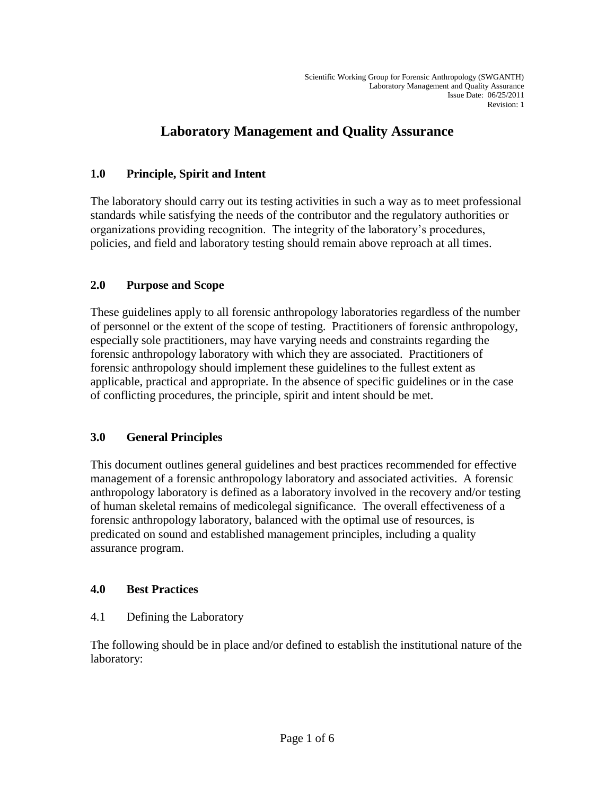# **Laboratory Management and Quality Assurance**

## **1.0 Principle, Spirit and Intent**

The laboratory should carry out its testing activities in such a way as to meet professional standards while satisfying the needs of the contributor and the regulatory authorities or organizations providing recognition. The integrity of the laboratory's procedures, policies, and field and laboratory testing should remain above reproach at all times.

## **2.0 Purpose and Scope**

These guidelines apply to all forensic anthropology laboratories regardless of the number of personnel or the extent of the scope of testing. Practitioners of forensic anthropology, especially sole practitioners, may have varying needs and constraints regarding the forensic anthropology laboratory with which they are associated. Practitioners of forensic anthropology should implement these guidelines to the fullest extent as applicable, practical and appropriate. In the absence of specific guidelines or in the case of conflicting procedures, the principle, spirit and intent should be met.

### **3.0 General Principles**

This document outlines general guidelines and best practices recommended for effective management of a forensic anthropology laboratory and associated activities. A forensic anthropology laboratory is defined as a laboratory involved in the recovery and/or testing of human skeletal remains of medicolegal significance. The overall effectiveness of a forensic anthropology laboratory, balanced with the optimal use of resources, is predicated on sound and established management principles, including a quality assurance program.

### **4.0 Best Practices**

### 4.1 Defining the Laboratory

The following should be in place and/or defined to establish the institutional nature of the laboratory: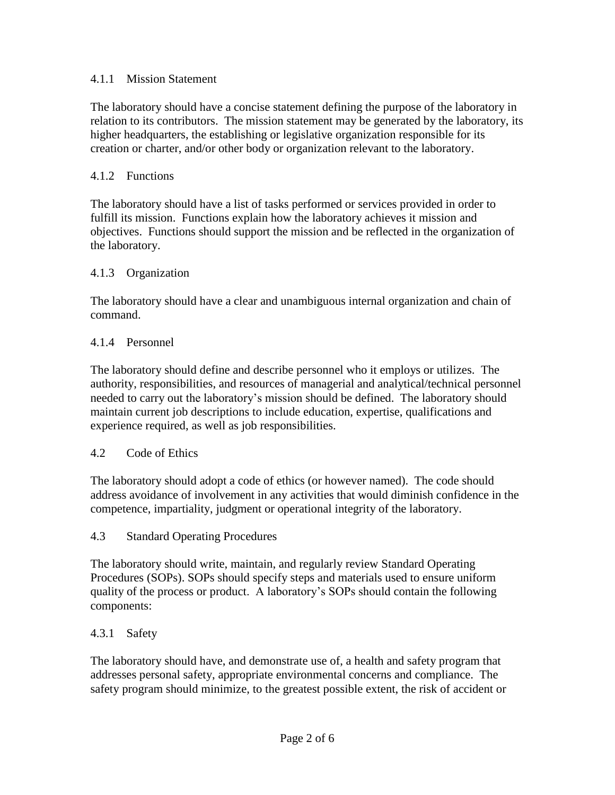### 4.1.1 Mission Statement

The laboratory should have a concise statement defining the purpose of the laboratory in relation to its contributors. The mission statement may be generated by the laboratory, its higher headquarters, the establishing or legislative organization responsible for its creation or charter, and/or other body or organization relevant to the laboratory.

### 4.1.2 Functions

The laboratory should have a list of tasks performed or services provided in order to fulfill its mission. Functions explain how the laboratory achieves it mission and objectives. Functions should support the mission and be reflected in the organization of the laboratory.

### 4.1.3 Organization

The laboratory should have a clear and unambiguous internal organization and chain of command.

### 4.1.4 Personnel

The laboratory should define and describe personnel who it employs or utilizes. The authority, responsibilities, and resources of managerial and analytical/technical personnel needed to carry out the laboratory's mission should be defined. The laboratory should maintain current job descriptions to include education, expertise, qualifications and experience required, as well as job responsibilities.

### 4.2 Code of Ethics

The laboratory should adopt a code of ethics (or however named). The code should address avoidance of involvement in any activities that would diminish confidence in the competence, impartiality, judgment or operational integrity of the laboratory.

### 4.3 Standard Operating Procedures

The laboratory should write, maintain, and regularly review Standard Operating Procedures (SOPs). SOPs should specify steps and materials used to ensure uniform quality of the process or product. A laboratory's SOPs should contain the following components:

### 4.3.1 Safety

The laboratory should have, and demonstrate use of, a health and safety program that addresses personal safety, appropriate environmental concerns and compliance. The safety program should minimize, to the greatest possible extent, the risk of accident or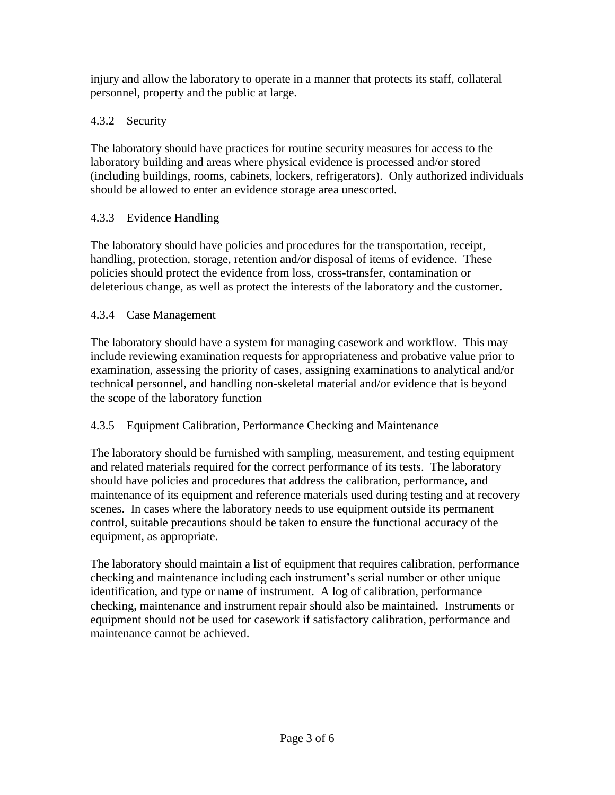injury and allow the laboratory to operate in a manner that protects its staff, collateral personnel, property and the public at large.

## 4.3.2 Security

The laboratory should have practices for routine security measures for access to the laboratory building and areas where physical evidence is processed and/or stored (including buildings, rooms, cabinets, lockers, refrigerators). Only authorized individuals should be allowed to enter an evidence storage area unescorted.

## 4.3.3 Evidence Handling

The laboratory should have policies and procedures for the transportation, receipt, handling, protection, storage, retention and/or disposal of items of evidence. These policies should protect the evidence from loss, cross-transfer, contamination or deleterious change, as well as protect the interests of the laboratory and the customer.

## 4.3.4 Case Management

The laboratory should have a system for managing casework and workflow. This may include reviewing examination requests for appropriateness and probative value prior to examination, assessing the priority of cases, assigning examinations to analytical and/or technical personnel, and handling non-skeletal material and/or evidence that is beyond the scope of the laboratory function

## 4.3.5 Equipment Calibration, Performance Checking and Maintenance

The laboratory should be furnished with sampling, measurement, and testing equipment and related materials required for the correct performance of its tests. The laboratory should have policies and procedures that address the calibration, performance, and maintenance of its equipment and reference materials used during testing and at recovery scenes. In cases where the laboratory needs to use equipment outside its permanent control, suitable precautions should be taken to ensure the functional accuracy of the equipment, as appropriate.

The laboratory should maintain a list of equipment that requires calibration, performance checking and maintenance including each instrument's serial number or other unique identification, and type or name of instrument. A log of calibration, performance checking, maintenance and instrument repair should also be maintained. Instruments or equipment should not be used for casework if satisfactory calibration, performance and maintenance cannot be achieved.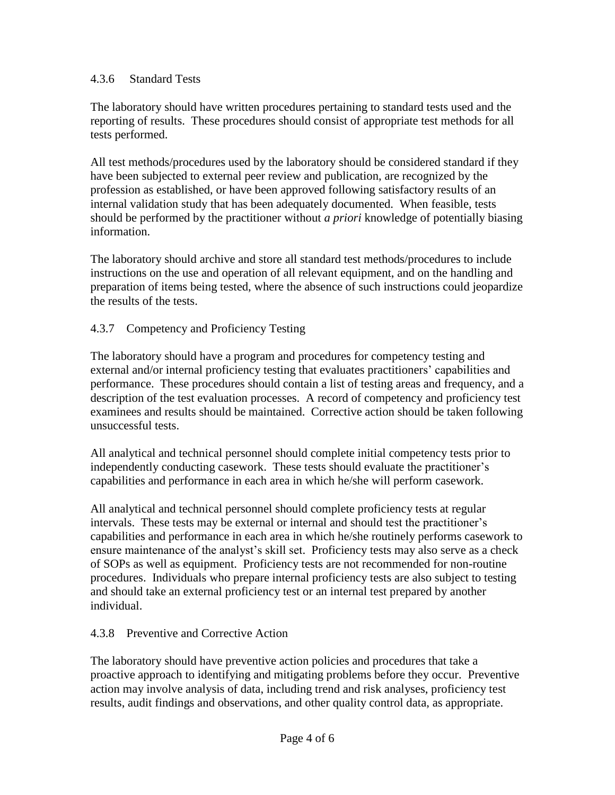#### 4.3.6 Standard Tests

The laboratory should have written procedures pertaining to standard tests used and the reporting of results. These procedures should consist of appropriate test methods for all tests performed.

All test methods/procedures used by the laboratory should be considered standard if they have been subjected to external peer review and publication, are recognized by the profession as established, or have been approved following satisfactory results of an internal validation study that has been adequately documented. When feasible, tests should be performed by the practitioner without *a priori* knowledge of potentially biasing information.

The laboratory should archive and store all standard test methods/procedures to include instructions on the use and operation of all relevant equipment, and on the handling and preparation of items being tested, where the absence of such instructions could jeopardize the results of the tests.

### 4.3.7 Competency and Proficiency Testing

The laboratory should have a program and procedures for competency testing and external and/or internal proficiency testing that evaluates practitioners' capabilities and performance. These procedures should contain a list of testing areas and frequency, and a description of the test evaluation processes. A record of competency and proficiency test examinees and results should be maintained. Corrective action should be taken following unsuccessful tests.

All analytical and technical personnel should complete initial competency tests prior to independently conducting casework. These tests should evaluate the practitioner's capabilities and performance in each area in which he/she will perform casework.

All analytical and technical personnel should complete proficiency tests at regular intervals. These tests may be external or internal and should test the practitioner's capabilities and performance in each area in which he/she routinely performs casework to ensure maintenance of the analyst's skill set. Proficiency tests may also serve as a check of SOPs as well as equipment. Proficiency tests are not recommended for non-routine procedures. Individuals who prepare internal proficiency tests are also subject to testing and should take an external proficiency test or an internal test prepared by another individual.

### 4.3.8 Preventive and Corrective Action

The laboratory should have preventive action policies and procedures that take a proactive approach to identifying and mitigating problems before they occur. Preventive action may involve analysis of data, including trend and risk analyses, proficiency test results, audit findings and observations, and other quality control data, as appropriate.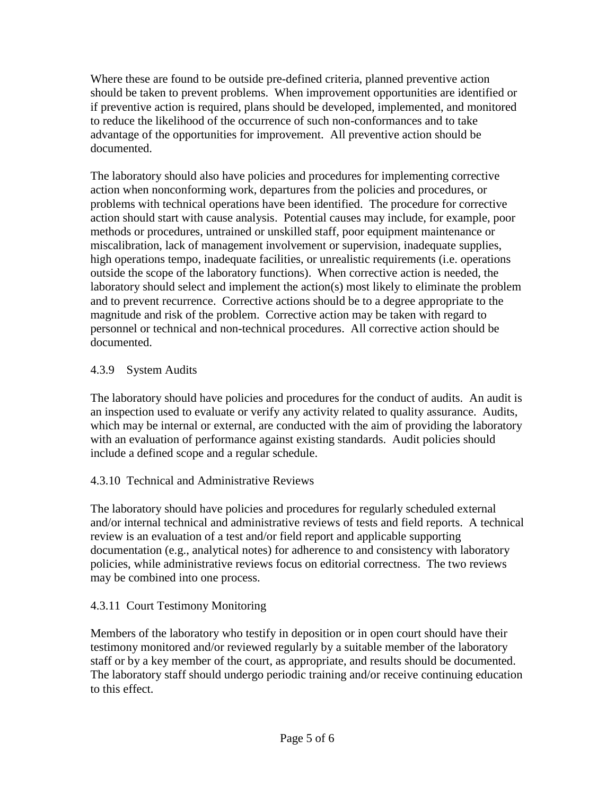Where these are found to be outside pre-defined criteria, planned preventive action should be taken to prevent problems. When improvement opportunities are identified or if preventive action is required, plans should be developed, implemented, and monitored to reduce the likelihood of the occurrence of such non-conformances and to take advantage of the opportunities for improvement. All preventive action should be documented.

The laboratory should also have policies and procedures for implementing corrective action when nonconforming work, departures from the policies and procedures, or problems with technical operations have been identified. The procedure for corrective action should start with cause analysis. Potential causes may include, for example, poor methods or procedures, untrained or unskilled staff, poor equipment maintenance or miscalibration, lack of management involvement or supervision, inadequate supplies, high operations tempo, inadequate facilities, or unrealistic requirements (i.e. operations outside the scope of the laboratory functions). When corrective action is needed, the laboratory should select and implement the action(s) most likely to eliminate the problem and to prevent recurrence. Corrective actions should be to a degree appropriate to the magnitude and risk of the problem. Corrective action may be taken with regard to personnel or technical and non-technical procedures. All corrective action should be documented.

## 4.3.9 System Audits

The laboratory should have policies and procedures for the conduct of audits. An audit is an inspection used to evaluate or verify any activity related to quality assurance. Audits, which may be internal or external, are conducted with the aim of providing the laboratory with an evaluation of performance against existing standards. Audit policies should include a defined scope and a regular schedule.

## 4.3.10 Technical and Administrative Reviews

The laboratory should have policies and procedures for regularly scheduled external and/or internal technical and administrative reviews of tests and field reports. A technical review is an evaluation of a test and/or field report and applicable supporting documentation (e.g., analytical notes) for adherence to and consistency with laboratory policies, while administrative reviews focus on editorial correctness. The two reviews may be combined into one process.

## 4.3.11 Court Testimony Monitoring

Members of the laboratory who testify in deposition or in open court should have their testimony monitored and/or reviewed regularly by a suitable member of the laboratory staff or by a key member of the court, as appropriate, and results should be documented. The laboratory staff should undergo periodic training and/or receive continuing education to this effect.